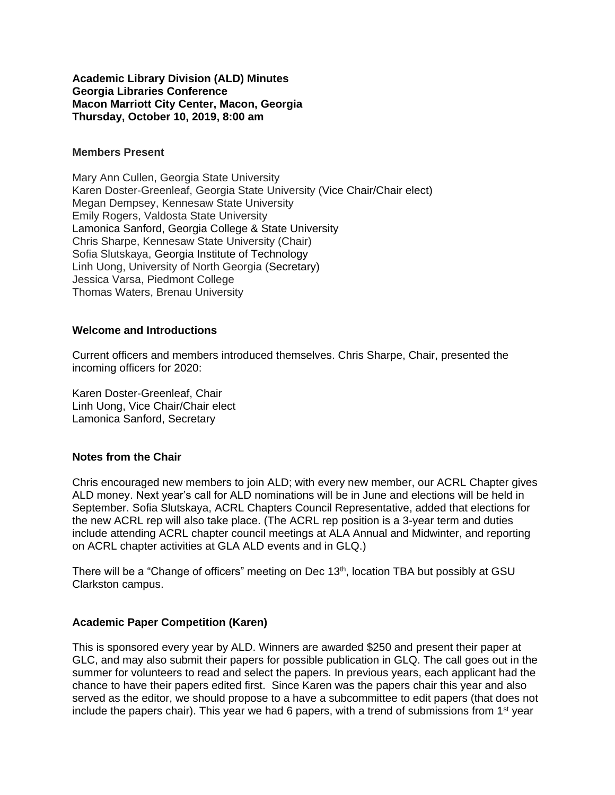### **Academic Library Division (ALD) Minutes Georgia Libraries Conference Macon Marriott City Center, Macon, Georgia Thursday, October 10, 2019, 8:00 am**

### **Members Present**

Mary Ann Cullen, Georgia State University Karen Doster-Greenleaf, Georgia State University (Vice Chair/Chair elect) Megan Dempsey, Kennesaw State University Emily Rogers, Valdosta State University Lamonica Sanford, Georgia College & State University Chris Sharpe, Kennesaw State University (Chair) Sofia Slutskaya, Georgia Institute of Technology Linh Uong, University of North Georgia (Secretary) Jessica Varsa, Piedmont College Thomas Waters, Brenau University

### **Welcome and Introductions**

Current officers and members introduced themselves. Chris Sharpe, Chair, presented the incoming officers for 2020:

Karen Doster-Greenleaf, Chair Linh Uong, Vice Chair/Chair elect Lamonica Sanford, Secretary

#### **Notes from the Chair**

Chris encouraged new members to join ALD; with every new member, our ACRL Chapter gives ALD money. Next year's call for ALD nominations will be in June and elections will be held in September. Sofia Slutskaya, ACRL Chapters Council Representative, added that elections for the new ACRL rep will also take place. (The ACRL rep position is a 3-year term and duties include attending ACRL chapter council meetings at ALA Annual and Midwinter, and reporting on ACRL chapter activities at GLA ALD events and in GLQ.)

There will be a "Change of officers" meeting on Dec 13<sup>th</sup>, location TBA but possibly at GSU Clarkston campus.

# **Academic Paper Competition (Karen)**

This is sponsored every year by ALD. Winners are awarded \$250 and present their paper at GLC, and may also submit their papers for possible publication in GLQ. The call goes out in the summer for volunteers to read and select the papers. In previous years, each applicant had the chance to have their papers edited first. Since Karen was the papers chair this year and also served as the editor, we should propose to a have a subcommittee to edit papers (that does not include the papers chair). This year we had 6 papers, with a trend of submissions from 1<sup>st</sup> year